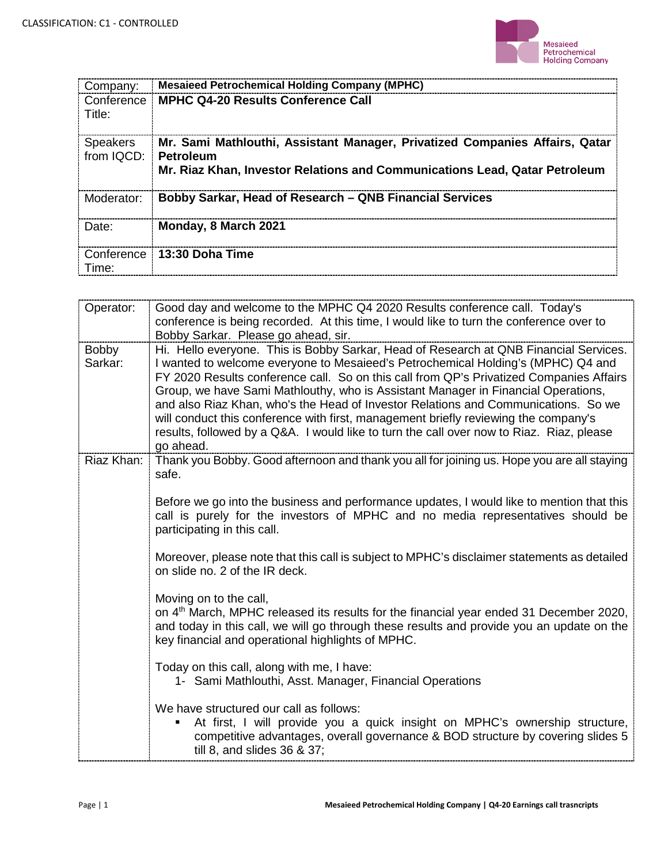

| Company:                                | <b>Mesaieed Petrochemical Holding Company (MPHC)</b>                                                                                                      |
|-----------------------------------------|-----------------------------------------------------------------------------------------------------------------------------------------------------------|
| Title:                                  | Conference   MPHC Q4-20 Results Conference Call                                                                                                           |
| <b>Speakers</b><br>from IQCD: Petroleum | Mr. Sami Mathlouthi, Assistant Manager, Privatized Companies Affairs, Qatar<br>Mr. Riaz Khan, Investor Relations and Communications Lead, Qatar Petroleum |
| Moderator:                              | Bobby Sarkar, Head of Research – QNB Financial Services                                                                                                   |
| Date:                                   | Monday, 8 March 2021                                                                                                                                      |
| Conference i<br>Time:                   | i 13:30 Doha Time                                                                                                                                         |

| Operator:        | Good day and welcome to the MPHC Q4 2020 Results conference call. Today's<br>conference is being recorded. At this time, I would like to turn the conference over to<br>Bobby Sarkar. Please go ahead, sir.                                                                                                                                                                                                                                                                                                                                                                                                                                     |
|------------------|-------------------------------------------------------------------------------------------------------------------------------------------------------------------------------------------------------------------------------------------------------------------------------------------------------------------------------------------------------------------------------------------------------------------------------------------------------------------------------------------------------------------------------------------------------------------------------------------------------------------------------------------------|
| Bobby<br>Sarkar: | Hi. Hello everyone. This is Bobby Sarkar, Head of Research at QNB Financial Services.<br>I wanted to welcome everyone to Mesaieed's Petrochemical Holding's (MPHC) Q4 and<br>FY 2020 Results conference call. So on this call from QP's Privatized Companies Affairs<br>Group, we have Sami Mathlouthy, who is Assistant Manager in Financial Operations,<br>and also Riaz Khan, who's the Head of Investor Relations and Communications. So we<br>will conduct this conference with first, management briefly reviewing the company's<br>results, followed by a Q&A. I would like to turn the call over now to Riaz. Riaz, please<br>go ahead. |
| Riaz Khan:       | Thank you Bobby. Good afternoon and thank you all for joining us. Hope you are all staying<br>safe.                                                                                                                                                                                                                                                                                                                                                                                                                                                                                                                                             |
|                  | Before we go into the business and performance updates, I would like to mention that this<br>call is purely for the investors of MPHC and no media representatives should be<br>participating in this call.                                                                                                                                                                                                                                                                                                                                                                                                                                     |
|                  | Moreover, please note that this call is subject to MPHC's disclaimer statements as detailed<br>on slide no. 2 of the IR deck.                                                                                                                                                                                                                                                                                                                                                                                                                                                                                                                   |
|                  | Moving on to the call,<br>on 4 <sup>th</sup> March, MPHC released its results for the financial year ended 31 December 2020,<br>and today in this call, we will go through these results and provide you an update on the<br>key financial and operational highlights of MPHC.                                                                                                                                                                                                                                                                                                                                                                  |
|                  | Today on this call, along with me, I have:<br>1- Sami Mathlouthi, Asst. Manager, Financial Operations                                                                                                                                                                                                                                                                                                                                                                                                                                                                                                                                           |
|                  | We have structured our call as follows:<br>At first, I will provide you a quick insight on MPHC's ownership structure,<br>٠<br>competitive advantages, overall governance & BOD structure by covering slides 5<br>till 8, and slides 36 & 37;                                                                                                                                                                                                                                                                                                                                                                                                   |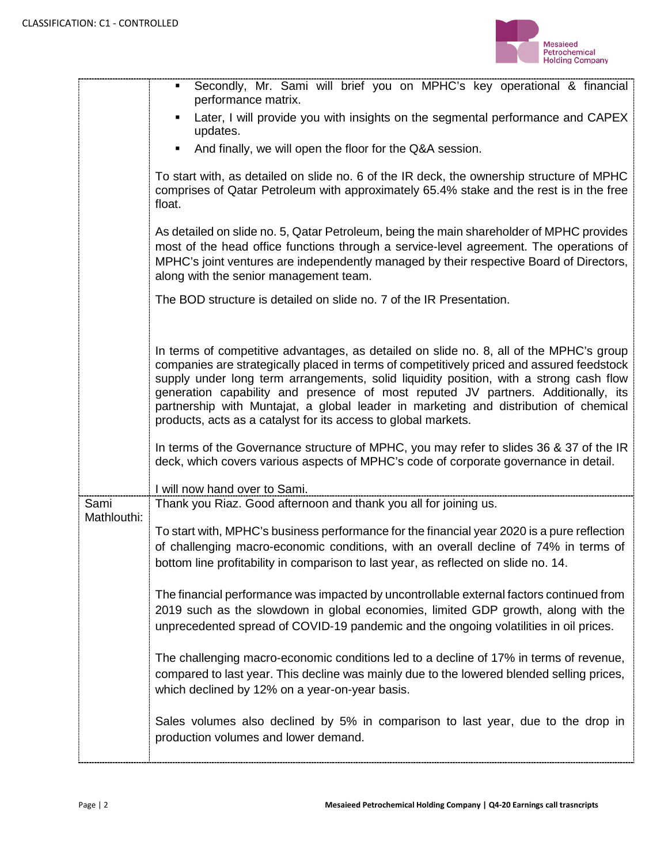

|                     | Secondly, Mr. Sami will brief you on MPHC's key operational & financial<br>performance matrix.                                                                                                                                                                                                                                                                                                                                                                                                                                |
|---------------------|-------------------------------------------------------------------------------------------------------------------------------------------------------------------------------------------------------------------------------------------------------------------------------------------------------------------------------------------------------------------------------------------------------------------------------------------------------------------------------------------------------------------------------|
|                     | Later, I will provide you with insights on the segmental performance and CAPEX<br>٠<br>updates.                                                                                                                                                                                                                                                                                                                                                                                                                               |
|                     | And finally, we will open the floor for the Q&A session.<br>٠                                                                                                                                                                                                                                                                                                                                                                                                                                                                 |
|                     | To start with, as detailed on slide no. 6 of the IR deck, the ownership structure of MPHC<br>comprises of Qatar Petroleum with approximately 65.4% stake and the rest is in the free<br>float.                                                                                                                                                                                                                                                                                                                                |
|                     | As detailed on slide no. 5, Qatar Petroleum, being the main shareholder of MPHC provides<br>most of the head office functions through a service-level agreement. The operations of<br>MPHC's joint ventures are independently managed by their respective Board of Directors,<br>along with the senior management team.                                                                                                                                                                                                       |
|                     | The BOD structure is detailed on slide no. 7 of the IR Presentation.                                                                                                                                                                                                                                                                                                                                                                                                                                                          |
|                     | In terms of competitive advantages, as detailed on slide no. 8, all of the MPHC's group<br>companies are strategically placed in terms of competitively priced and assured feedstock<br>supply under long term arrangements, solid liquidity position, with a strong cash flow<br>generation capability and presence of most reputed JV partners. Additionally, its<br>partnership with Muntajat, a global leader in marketing and distribution of chemical<br>products, acts as a catalyst for its access to global markets. |
|                     | In terms of the Governance structure of MPHC, you may refer to slides 36 & 37 of the IR<br>deck, which covers various aspects of MPHC's code of corporate governance in detail.                                                                                                                                                                                                                                                                                                                                               |
|                     | I will now hand over to Sami.                                                                                                                                                                                                                                                                                                                                                                                                                                                                                                 |
| Sami<br>Mathlouthi: | Thank you Riaz. Good afternoon and thank you all for joining us.                                                                                                                                                                                                                                                                                                                                                                                                                                                              |
|                     | To start with, MPHC's business performance for the financial year 2020 is a pure reflection<br>of challenging macro-economic conditions, with an overall decline of 74% in terms of<br>bottom line profitability in comparison to last year, as reflected on slide no. 14.                                                                                                                                                                                                                                                    |
|                     | The financial performance was impacted by uncontrollable external factors continued from<br>2019 such as the slowdown in global economies, limited GDP growth, along with the<br>unprecedented spread of COVID-19 pandemic and the ongoing volatilities in oil prices.                                                                                                                                                                                                                                                        |
|                     | The challenging macro-economic conditions led to a decline of 17% in terms of revenue,<br>compared to last year. This decline was mainly due to the lowered blended selling prices,<br>which declined by 12% on a year-on-year basis.                                                                                                                                                                                                                                                                                         |
|                     | Sales volumes also declined by 5% in comparison to last year, due to the drop in<br>production volumes and lower demand.                                                                                                                                                                                                                                                                                                                                                                                                      |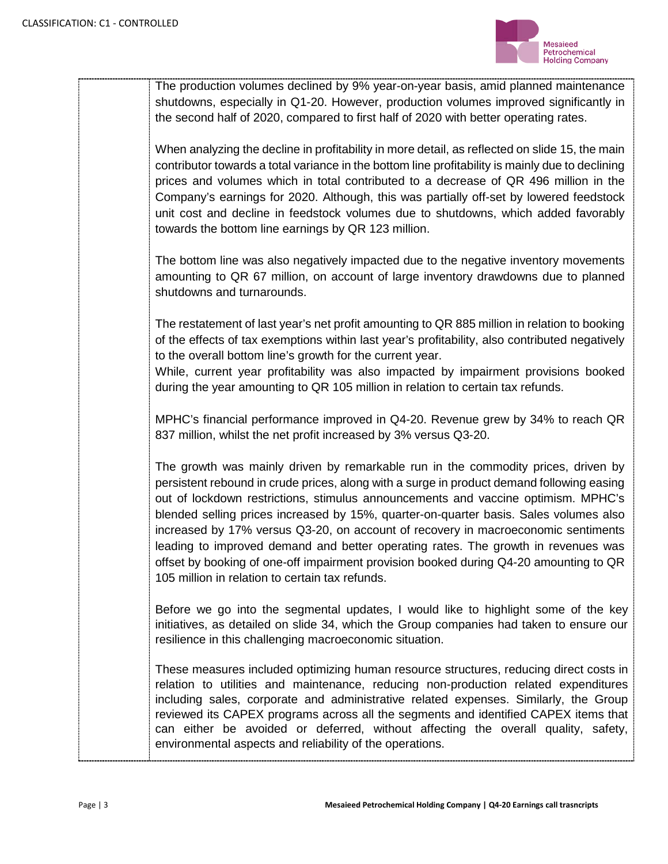

The production volumes declined by 9% year-on-year basis, amid planned maintenance shutdowns, especially in Q1-20. However, production volumes improved significantly in the second half of 2020, compared to first half of 2020 with better operating rates.

When analyzing the decline in profitability in more detail, as reflected on slide 15, the main contributor towards a total variance in the bottom line profitability is mainly due to declining prices and volumes which in total contributed to a decrease of QR 496 million in the Company's earnings for 2020. Although, this was partially off-set by lowered feedstock unit cost and decline in feedstock volumes due to shutdowns, which added favorably towards the bottom line earnings by QR 123 million.

The bottom line was also negatively impacted due to the negative inventory movements amounting to QR 67 million, on account of large inventory drawdowns due to planned shutdowns and turnarounds.

The restatement of last year's net profit amounting to QR 885 million in relation to booking of the effects of tax exemptions within last year's profitability, also contributed negatively to the overall bottom line's growth for the current year.

While, current year profitability was also impacted by impairment provisions booked during the year amounting to QR 105 million in relation to certain tax refunds.

MPHC's financial performance improved in Q4-20. Revenue grew by 34% to reach QR 837 million, whilst the net profit increased by 3% versus Q3-20.

The growth was mainly driven by remarkable run in the commodity prices, driven by persistent rebound in crude prices, along with a surge in product demand following easing out of lockdown restrictions, stimulus announcements and vaccine optimism. MPHC's blended selling prices increased by 15%, quarter-on-quarter basis. Sales volumes also increased by 17% versus Q3-20, on account of recovery in macroeconomic sentiments leading to improved demand and better operating rates. The growth in revenues was offset by booking of one-off impairment provision booked during Q4-20 amounting to QR 105 million in relation to certain tax refunds.

Before we go into the segmental updates, I would like to highlight some of the key initiatives, as detailed on slide 34, which the Group companies had taken to ensure our resilience in this challenging macroeconomic situation.

These measures included optimizing human resource structures, reducing direct costs in relation to utilities and maintenance, reducing non-production related expenditures including sales, corporate and administrative related expenses. Similarly, the Group reviewed its CAPEX programs across all the segments and identified CAPEX items that can either be avoided or deferred, without affecting the overall quality, safety, environmental aspects and reliability of the operations.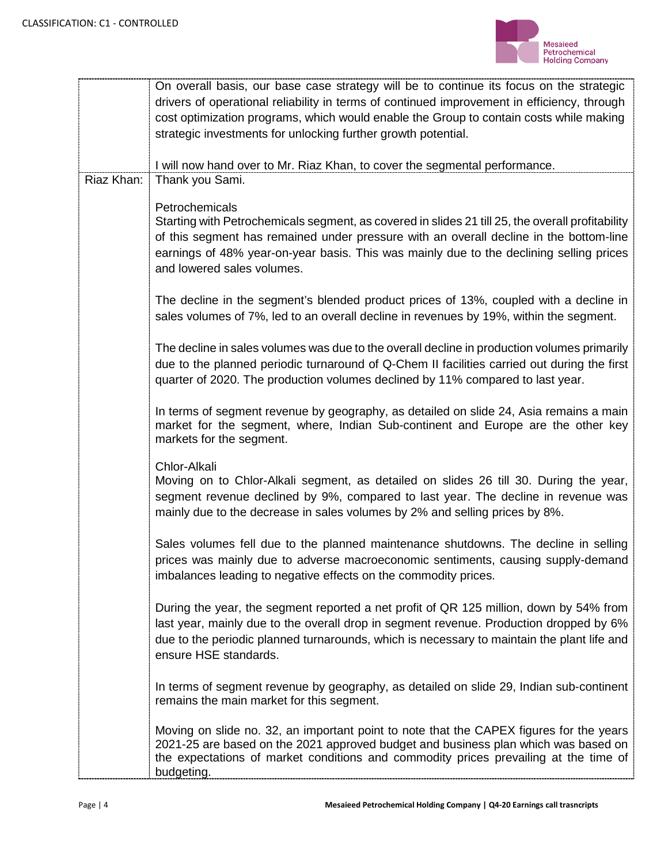

|                                                                                                                                                                                   | On overall basis, our base case strategy will be to continue its focus on the strategic |
|-----------------------------------------------------------------------------------------------------------------------------------------------------------------------------------|-----------------------------------------------------------------------------------------|
| drivers of operational reliability in terms of continued improvement in efficiency, through                                                                                       |                                                                                         |
| cost optimization programs, which would enable the Group to contain costs while making                                                                                            |                                                                                         |
| strategic investments for unlocking further growth potential.                                                                                                                     |                                                                                         |
| I will now hand over to Mr. Riaz Khan, to cover the segmental performance.                                                                                                        |                                                                                         |
| Riaz Khan:<br>Thank you Sami.                                                                                                                                                     |                                                                                         |
|                                                                                                                                                                                   |                                                                                         |
| Petrochemicals                                                                                                                                                                    |                                                                                         |
| Starting with Petrochemicals segment, as covered in slides 21 till 25, the overall profitability                                                                                  |                                                                                         |
| of this segment has remained under pressure with an overall decline in the bottom-line<br>earnings of 48% year-on-year basis. This was mainly due to the declining selling prices |                                                                                         |
| and lowered sales volumes.                                                                                                                                                        |                                                                                         |
|                                                                                                                                                                                   |                                                                                         |
| The decline in the segment's blended product prices of 13%, coupled with a decline in                                                                                             |                                                                                         |
| sales volumes of 7%, led to an overall decline in revenues by 19%, within the segment.                                                                                            |                                                                                         |
|                                                                                                                                                                                   |                                                                                         |
| The decline in sales volumes was due to the overall decline in production volumes primarily                                                                                       |                                                                                         |
| due to the planned periodic turnaround of Q-Chem II facilities carried out during the first                                                                                       |                                                                                         |
| quarter of 2020. The production volumes declined by 11% compared to last year.                                                                                                    |                                                                                         |
|                                                                                                                                                                                   |                                                                                         |
| In terms of segment revenue by geography, as detailed on slide 24, Asia remains a main                                                                                            |                                                                                         |
| market for the segment, where, Indian Sub-continent and Europe are the other key<br>markets for the segment.                                                                      |                                                                                         |
|                                                                                                                                                                                   |                                                                                         |
| Chlor-Alkali                                                                                                                                                                      |                                                                                         |
| Moving on to Chlor-Alkali segment, as detailed on slides 26 till 30. During the year,                                                                                             |                                                                                         |
| segment revenue declined by 9%, compared to last year. The decline in revenue was                                                                                                 |                                                                                         |
| mainly due to the decrease in sales volumes by 2% and selling prices by 8%.                                                                                                       |                                                                                         |
| Sales volumes fell due to the planned maintenance shutdowns. The decline in selling                                                                                               |                                                                                         |
| prices was mainly due to adverse macroeconomic sentiments, causing supply-demand                                                                                                  |                                                                                         |
| imbalances leading to negative effects on the commodity prices.                                                                                                                   |                                                                                         |
|                                                                                                                                                                                   |                                                                                         |
| During the year, the segment reported a net profit of QR 125 million, down by 54% from                                                                                            |                                                                                         |
| last year, mainly due to the overall drop in segment revenue. Production dropped by 6%                                                                                            |                                                                                         |
| due to the periodic planned turnarounds, which is necessary to maintain the plant life and                                                                                        |                                                                                         |
| ensure HSE standards.                                                                                                                                                             |                                                                                         |
|                                                                                                                                                                                   |                                                                                         |
| In terms of segment revenue by geography, as detailed on slide 29, Indian sub-continent<br>remains the main market for this segment.                                              |                                                                                         |
|                                                                                                                                                                                   |                                                                                         |
| Moving on slide no. 32, an important point to note that the CAPEX figures for the years                                                                                           |                                                                                         |
| 2021-25 are based on the 2021 approved budget and business plan which was based on                                                                                                |                                                                                         |
| the expectations of market conditions and commodity prices prevailing at the time of<br>budgeting.                                                                                |                                                                                         |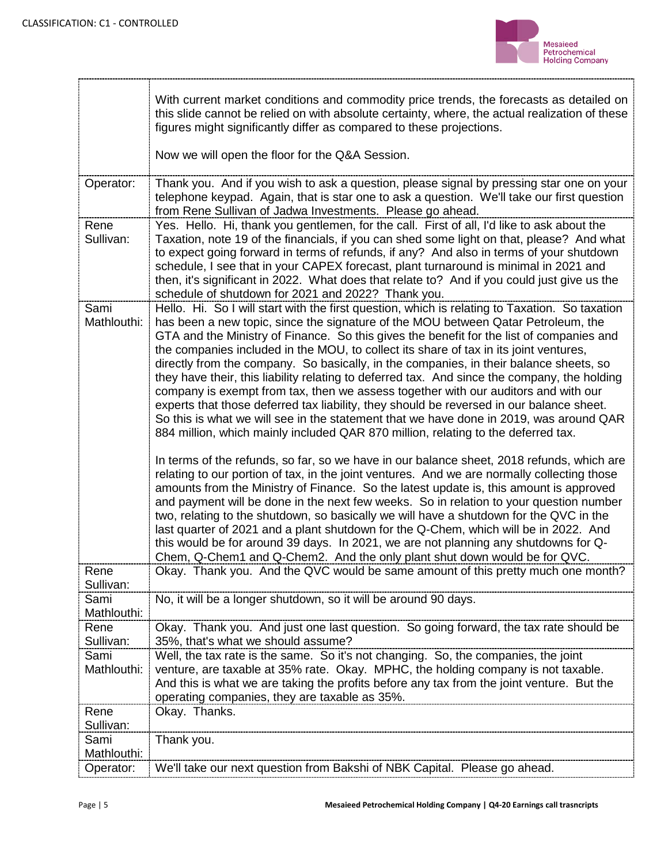

--------------------

|                     | With current market conditions and commodity price trends, the forecasts as detailed on<br>this slide cannot be relied on with absolute certainty, where, the actual realization of these<br>figures might significantly differ as compared to these projections.                                                                                                                                                                                                                                                                                                                                                                                                                                                                                                                                                                                                                                                                                                                                                                                                                                                                                                                                                                                                                                                                                                                                                                                                                                                                                                                                                                                                         |
|---------------------|---------------------------------------------------------------------------------------------------------------------------------------------------------------------------------------------------------------------------------------------------------------------------------------------------------------------------------------------------------------------------------------------------------------------------------------------------------------------------------------------------------------------------------------------------------------------------------------------------------------------------------------------------------------------------------------------------------------------------------------------------------------------------------------------------------------------------------------------------------------------------------------------------------------------------------------------------------------------------------------------------------------------------------------------------------------------------------------------------------------------------------------------------------------------------------------------------------------------------------------------------------------------------------------------------------------------------------------------------------------------------------------------------------------------------------------------------------------------------------------------------------------------------------------------------------------------------------------------------------------------------------------------------------------------------|
|                     | Now we will open the floor for the Q&A Session.                                                                                                                                                                                                                                                                                                                                                                                                                                                                                                                                                                                                                                                                                                                                                                                                                                                                                                                                                                                                                                                                                                                                                                                                                                                                                                                                                                                                                                                                                                                                                                                                                           |
| Operator:           | Thank you. And if you wish to ask a question, please signal by pressing star one on your<br>telephone keypad. Again, that is star one to ask a question. We'll take our first question<br>from Rene Sullivan of Jadwa Investments. Please go ahead.                                                                                                                                                                                                                                                                                                                                                                                                                                                                                                                                                                                                                                                                                                                                                                                                                                                                                                                                                                                                                                                                                                                                                                                                                                                                                                                                                                                                                       |
| Rene<br>Sullivan:   | Yes. Hello. Hi, thank you gentlemen, for the call. First of all, I'd like to ask about the<br>Taxation, note 19 of the financials, if you can shed some light on that, please? And what<br>to expect going forward in terms of refunds, if any? And also in terms of your shutdown<br>schedule, I see that in your CAPEX forecast, plant turnaround is minimal in 2021 and<br>then, it's significant in 2022. What does that relate to? And if you could just give us the<br>schedule of shutdown for 2021 and 2022? Thank you.                                                                                                                                                                                                                                                                                                                                                                                                                                                                                                                                                                                                                                                                                                                                                                                                                                                                                                                                                                                                                                                                                                                                           |
| Sami<br>Mathlouthi: | Hello. Hi. So I will start with the first question, which is relating to Taxation. So taxation<br>has been a new topic, since the signature of the MOU between Qatar Petroleum, the<br>GTA and the Ministry of Finance. So this gives the benefit for the list of companies and<br>the companies included in the MOU, to collect its share of tax in its joint ventures,<br>directly from the company. So basically, in the companies, in their balance sheets, so<br>they have their, this liability relating to deferred tax. And since the company, the holding<br>company is exempt from tax, then we assess together with our auditors and with our<br>experts that those deferred tax liability, they should be reversed in our balance sheet.<br>So this is what we will see in the statement that we have done in 2019, was around QAR<br>884 million, which mainly included QAR 870 million, relating to the deferred tax.<br>In terms of the refunds, so far, so we have in our balance sheet, 2018 refunds, which are<br>relating to our portion of tax, in the joint ventures. And we are normally collecting those<br>amounts from the Ministry of Finance. So the latest update is, this amount is approved<br>and payment will be done in the next few weeks. So in relation to your question number<br>two, relating to the shutdown, so basically we will have a shutdown for the QVC in the<br>last quarter of 2021 and a plant shutdown for the Q-Chem, which will be in 2022. And<br>this would be for around 39 days. In 2021, we are not planning any shutdowns for Q-<br>Chem, Q-Chem1 and Q-Chem2. And the only plant shut down would be for QVC. |
| Rene<br>Sullivan:   | Okay. Thank you. And the QVC would be same amount of this pretty much one month?                                                                                                                                                                                                                                                                                                                                                                                                                                                                                                                                                                                                                                                                                                                                                                                                                                                                                                                                                                                                                                                                                                                                                                                                                                                                                                                                                                                                                                                                                                                                                                                          |
| Sami<br>Mathlouthi: | No, it will be a longer shutdown, so it will be around 90 days.                                                                                                                                                                                                                                                                                                                                                                                                                                                                                                                                                                                                                                                                                                                                                                                                                                                                                                                                                                                                                                                                                                                                                                                                                                                                                                                                                                                                                                                                                                                                                                                                           |
| Rene                | Okay. Thank you. And just one last question. So going forward, the tax rate should be                                                                                                                                                                                                                                                                                                                                                                                                                                                                                                                                                                                                                                                                                                                                                                                                                                                                                                                                                                                                                                                                                                                                                                                                                                                                                                                                                                                                                                                                                                                                                                                     |
| Sullivan:<br>Sami   | 35%, that's what we should assume?<br>Well, the tax rate is the same. So it's not changing. So, the companies, the joint                                                                                                                                                                                                                                                                                                                                                                                                                                                                                                                                                                                                                                                                                                                                                                                                                                                                                                                                                                                                                                                                                                                                                                                                                                                                                                                                                                                                                                                                                                                                                  |
| Mathlouthi:         | venture, are taxable at 35% rate. Okay. MPHC, the holding company is not taxable.<br>And this is what we are taking the profits before any tax from the joint venture. But the<br>operating companies, they are taxable as 35%.                                                                                                                                                                                                                                                                                                                                                                                                                                                                                                                                                                                                                                                                                                                                                                                                                                                                                                                                                                                                                                                                                                                                                                                                                                                                                                                                                                                                                                           |
| Rene<br>Sullivan:   | Okay. Thanks.                                                                                                                                                                                                                                                                                                                                                                                                                                                                                                                                                                                                                                                                                                                                                                                                                                                                                                                                                                                                                                                                                                                                                                                                                                                                                                                                                                                                                                                                                                                                                                                                                                                             |
| Sami<br>Mathlouthi: | Thank you.                                                                                                                                                                                                                                                                                                                                                                                                                                                                                                                                                                                                                                                                                                                                                                                                                                                                                                                                                                                                                                                                                                                                                                                                                                                                                                                                                                                                                                                                                                                                                                                                                                                                |
| Operator:           | We'll take our next question from Bakshi of NBK Capital. Please go ahead.                                                                                                                                                                                                                                                                                                                                                                                                                                                                                                                                                                                                                                                                                                                                                                                                                                                                                                                                                                                                                                                                                                                                                                                                                                                                                                                                                                                                                                                                                                                                                                                                 |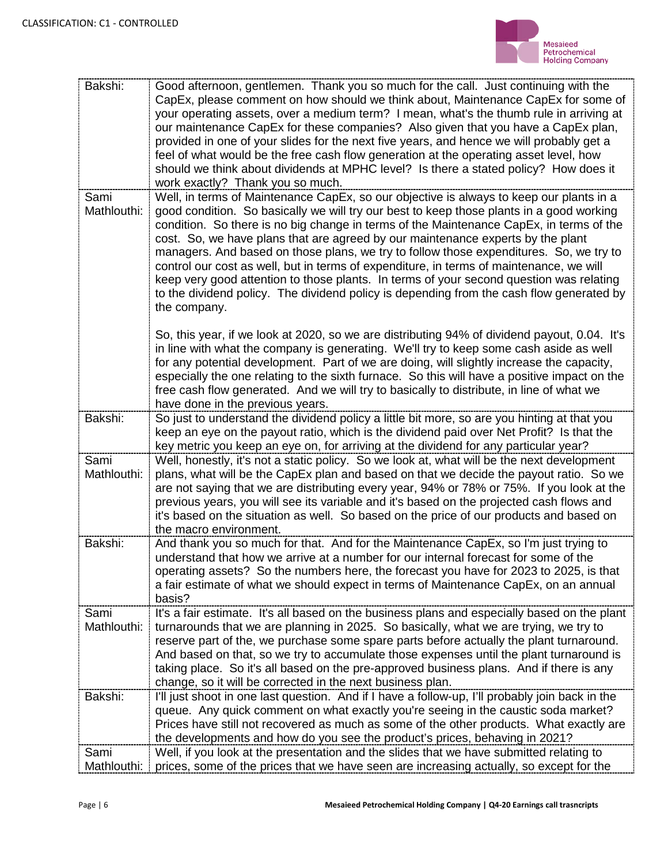

| Bakshi:     | Good afternoon, gentlemen. Thank you so much for the call. Just continuing with the             |
|-------------|-------------------------------------------------------------------------------------------------|
|             | CapEx, please comment on how should we think about, Maintenance CapEx for some of               |
|             | your operating assets, over a medium term? I mean, what's the thumb rule in arriving at         |
|             | our maintenance CapEx for these companies? Also given that you have a CapEx plan,               |
|             | provided in one of your slides for the next five years, and hence we will probably get a        |
|             | feel of what would be the free cash flow generation at the operating asset level, how           |
|             | should we think about dividends at MPHC level? Is there a stated policy? How does it            |
|             | work exactly? Thank you so much.                                                                |
| Sami        | Well, in terms of Maintenance CapEx, so our objective is always to keep our plants in a         |
| Mathlouthi: | good condition. So basically we will try our best to keep those plants in a good working        |
|             | condition. So there is no big change in terms of the Maintenance CapEx, in terms of the         |
|             | cost. So, we have plans that are agreed by our maintenance experts by the plant                 |
|             | managers. And based on those plans, we try to follow those expenditures. So, we try to          |
|             | control our cost as well, but in terms of expenditure, in terms of maintenance, we will         |
|             | keep very good attention to those plants. In terms of your second question was relating         |
|             | to the dividend policy. The dividend policy is depending from the cash flow generated by        |
|             | the company.                                                                                    |
|             |                                                                                                 |
|             | So, this year, if we look at 2020, so we are distributing 94% of dividend payout, 0.04. It's    |
|             | in line with what the company is generating. We'll try to keep some cash aside as well          |
|             | for any potential development. Part of we are doing, will slightly increase the capacity,       |
|             | especially the one relating to the sixth furnace. So this will have a positive impact on the    |
|             | free cash flow generated. And we will try to basically to distribute, in line of what we        |
|             | have done in the previous years.                                                                |
| Bakshi:     | So just to understand the dividend policy a little bit more, so are you hinting at that you     |
|             | keep an eye on the payout ratio, which is the dividend paid over Net Profit? Is that the        |
|             | key metric you keep an eye on, for arriving at the dividend for any particular year?            |
| Sami        | Well, honestly, it's not a static policy. So we look at, what will be the next development      |
| Mathlouthi: | plans, what will be the CapEx plan and based on that we decide the payout ratio. So we          |
|             | are not saying that we are distributing every year, 94% or 78% or 75%. If you look at the       |
|             | previous years, you will see its variable and it's based on the projected cash flows and        |
|             | it's based on the situation as well. So based on the price of our products and based on         |
|             | the macro environment.                                                                          |
| Bakshi:     | And thank you so much for that. And for the Maintenance CapEx, so I'm just trying to            |
|             | understand that how we arrive at a number for our internal forecast for some of the             |
|             | operating assets? So the numbers here, the forecast you have for 2023 to 2025, is that          |
|             | a fair estimate of what we should expect in terms of Maintenance CapEx, on an annual            |
|             | basis?                                                                                          |
| Sami        | It's a fair estimate. It's all based on the business plans and especially based on the plant    |
| Mathlouthi: | turnarounds that we are planning in 2025. So basically, what we are trying, we try to           |
|             | reserve part of the, we purchase some spare parts before actually the plant turnaround.         |
|             | And based on that, so we try to accumulate those expenses until the plant turnaround is         |
|             | taking place. So it's all based on the pre-approved business plans. And if there is any         |
|             | change, so it will be corrected in the next business plan.                                      |
| Bakshi:     | I'll just shoot in one last question. And if I have a follow-up, I'll probably join back in the |
|             | queue. Any quick comment on what exactly you're seeing in the caustic soda market?              |
|             | Prices have still not recovered as much as some of the other products. What exactly are         |
|             | the developments and how do you see the product's prices, behaving in 2021?                     |
| Sami        | Well, if you look at the presentation and the slides that we have submitted relating to         |
| Mathlouthi: | prices, some of the prices that we have seen are increasing actually, so except for the         |